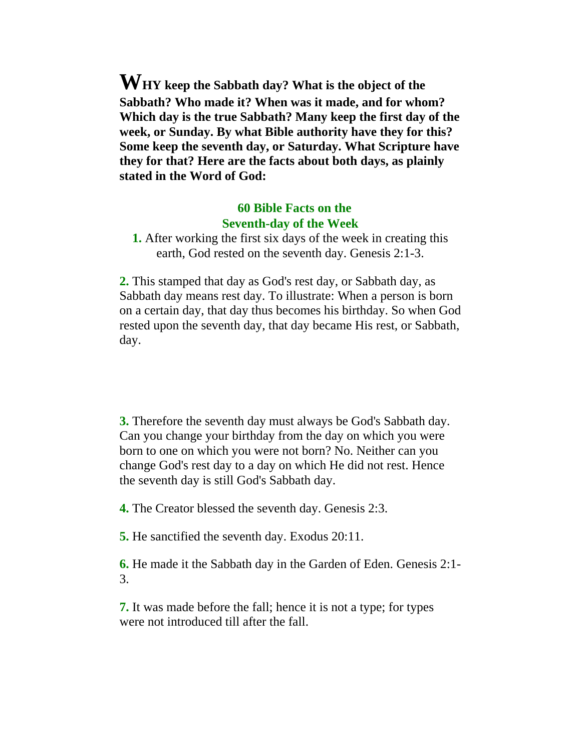**WHY keep the Sabbath day? What is the object of the Sabbath? Who made it? When was it made, and for whom? Which day is the true Sabbath? Many keep the first day of the week, or Sunday. By what Bible authority have they for this? Some keep the seventh day, or Saturday. What Scripture have they for that? Here are the facts about both days, as plainly stated in the Word of God:**

## **60 Bible Facts on the Seventh-day of the Week**

**1.** After working the first six days of the week in creating this earth, God rested on the seventh day. Genesis 2:1-3.

**2.** This stamped that day as God's rest day, or Sabbath day, as Sabbath day means rest day. To illustrate: When a person is born on a certain day, that day thus becomes his birthday. So when God rested upon the seventh day, that day became His rest, or Sabbath, day.

**3.** Therefore the seventh day must always be God's Sabbath day. Can you change your birthday from the day on which you were born to one on which you were not born? No. Neither can you change God's rest day to a day on which He did not rest. Hence the seventh day is still God's Sabbath day.

**4.** The Creator blessed the seventh day. Genesis 2:3.

**5.** He sanctified the seventh day. Exodus 20:11.

**6.** He made it the Sabbath day in the Garden of Eden. Genesis 2:1- 3.

**7.** It was made before the fall; hence it is not a type; for types were not introduced till after the fall.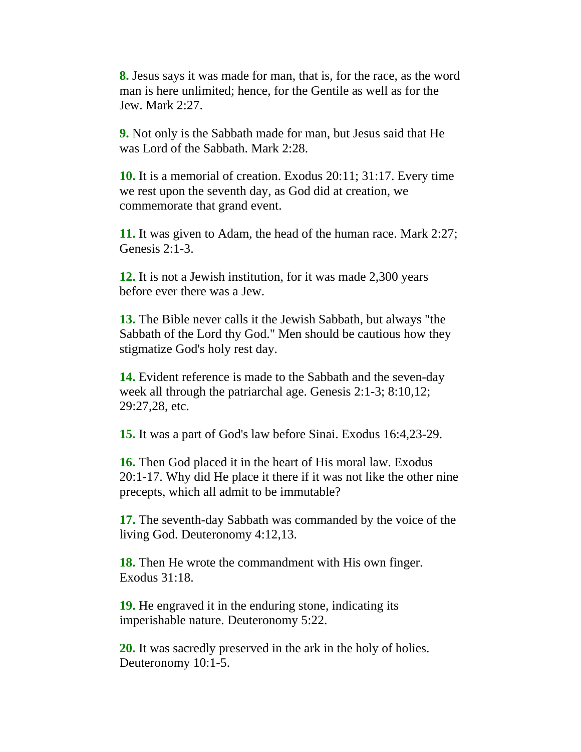**8.** Jesus says it was made for man, that is, for the race, as the word man is here unlimited; hence, for the Gentile as well as for the Jew. Mark 2:27.

**9.** Not only is the Sabbath made for man, but Jesus said that He was Lord of the Sabbath. Mark 2:28.

**10.** It is a memorial of creation. Exodus 20:11; 31:17. Every time we rest upon the seventh day, as God did at creation, we commemorate that grand event.

**11.** It was given to Adam, the head of the human race. Mark 2:27; Genesis 2:1-3.

**12.** It is not a Jewish institution, for it was made 2,300 years before ever there was a Jew.

**13.** The Bible never calls it the Jewish Sabbath, but always "the Sabbath of the Lord thy God." Men should be cautious how they stigmatize God's holy rest day.

**14.** Evident reference is made to the Sabbath and the seven-day week all through the patriarchal age. Genesis 2:1-3; 8:10,12; 29:27,28, etc.

**15.** It was a part of God's law before Sinai. Exodus 16:4,23-29.

**16.** Then God placed it in the heart of His moral law. Exodus 20:1-17. Why did He place it there if it was not like the other nine precepts, which all admit to be immutable?

**17.** The seventh-day Sabbath was commanded by the voice of the living God. Deuteronomy 4:12,13.

**18.** Then He wrote the commandment with His own finger. Exodus 31:18.

**19.** He engraved it in the enduring stone, indicating its imperishable nature. Deuteronomy 5:22.

**20.** It was sacredly preserved in the ark in the holy of holies. Deuteronomy 10:1-5.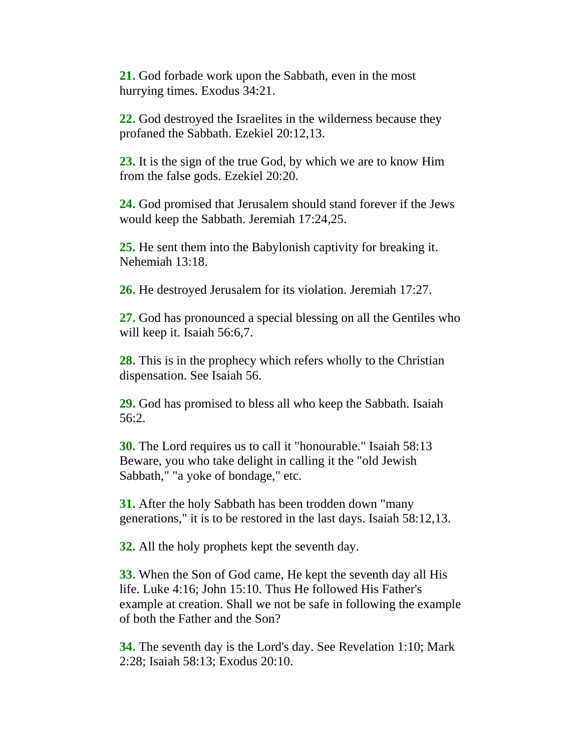**21.** God forbade work upon the Sabbath, even in the most hurrying times. Exodus 34:21.

**22.** God destroyed the Israelites in the wilderness because they profaned the Sabbath. Ezekiel 20:12,13.

**23.** It is the sign of the true God, by which we are to know Him from the false gods. Ezekiel 20:20.

**24.** God promised that Jerusalem should stand forever if the Jews would keep the Sabbath. Jeremiah 17:24,25.

**25.** He sent them into the Babylonish captivity for breaking it. Nehemiah 13:18.

**26.** He destroyed Jerusalem for its violation. Jeremiah 17:27.

**27.** God has pronounced a special blessing on all the Gentiles who will keep it. Isaiah 56:6,7.

**28.** This is in the prophecy which refers wholly to the Christian dispensation. See Isaiah 56.

**29.** God has promised to bless all who keep the Sabbath. Isaiah 56:2.

**30.** The Lord requires us to call it "honourable." Isaiah 58:13 Beware, you who take delight in calling it the "old Jewish Sabbath," "a yoke of bondage," etc.

**31.** After the holy Sabbath has been trodden down "many generations," it is to be restored in the last days. Isaiah 58:12,13.

**32.** All the holy prophets kept the seventh day.

**33.** When the Son of God came, He kept the seventh day all His life. Luke 4:16; John 15:10. Thus He followed His Father's example at creation. Shall we not be safe in following the example of both the Father and the Son?

**34.** The seventh day is the Lord's day. See Revelation 1:10; Mark 2:28; Isaiah 58:13; Exodus 20:10.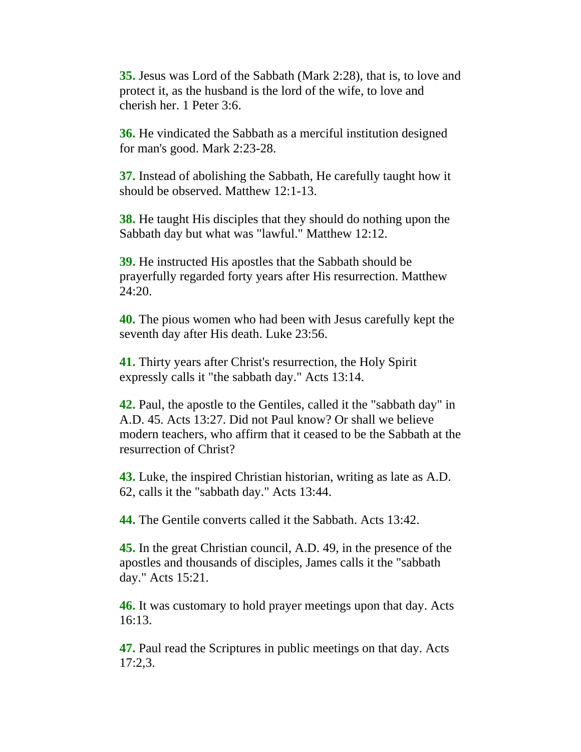**35.** Jesus was Lord of the Sabbath (Mark 2:28), that is, to love and protect it, as the husband is the lord of the wife, to love and cherish her. 1 Peter 3:6.

**36.** He vindicated the Sabbath as a merciful institution designed for man's good. Mark 2:23-28.

**37.** Instead of abolishing the Sabbath, He carefully taught how it should be observed. Matthew 12:1-13.

**38.** He taught His disciples that they should do nothing upon the Sabbath day but what was "lawful." Matthew 12:12.

**39.** He instructed His apostles that the Sabbath should be prayerfully regarded forty years after His resurrection. Matthew 24:20.

**40.** The pious women who had been with Jesus carefully kept the seventh day after His death. Luke 23:56.

**41.** Thirty years after Christ's resurrection, the Holy Spirit expressly calls it "the sabbath day." Acts 13:14.

**42.** Paul, the apostle to the Gentiles, called it the "sabbath day" in A.D. 45. Acts 13:27. Did not Paul know? Or shall we believe modern teachers, who affirm that it ceased to be the Sabbath at the resurrection of Christ?

**43.** Luke, the inspired Christian historian, writing as late as A.D. 62, calls it the "sabbath day." Acts 13:44.

**44.** The Gentile converts called it the Sabbath. Acts 13:42.

**45.** In the great Christian council, A.D. 49, in the presence of the apostles and thousands of disciples, James calls it the "sabbath day." Acts 15:21.

**46.** It was customary to hold prayer meetings upon that day. Acts 16:13.

**47.** Paul read the Scriptures in public meetings on that day. Acts 17:2,3.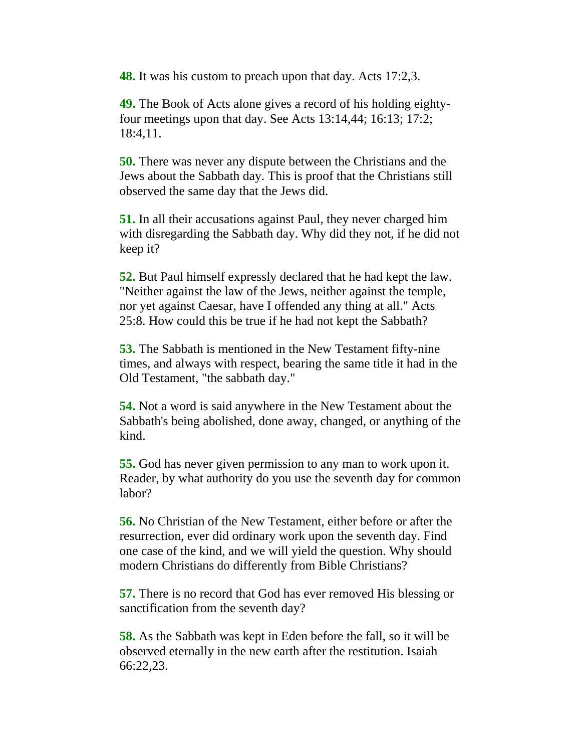**48.** It was his custom to preach upon that day. Acts 17:2,3.

**49.** The Book of Acts alone gives a record of his holding eightyfour meetings upon that day. See Acts 13:14,44; 16:13; 17:2; 18:4,11.

**50.** There was never any dispute between the Christians and the Jews about the Sabbath day. This is proof that the Christians still observed the same day that the Jews did.

**51.** In all their accusations against Paul, they never charged him with disregarding the Sabbath day. Why did they not, if he did not keep it?

**52.** But Paul himself expressly declared that he had kept the law. "Neither against the law of the Jews, neither against the temple, nor yet against Caesar, have I offended any thing at all." Acts 25:8. How could this be true if he had not kept the Sabbath?

**53.** The Sabbath is mentioned in the New Testament fifty-nine times, and always with respect, bearing the same title it had in the Old Testament, "the sabbath day."

**54.** Not a word is said anywhere in the New Testament about the Sabbath's being abolished, done away, changed, or anything of the kind.

**55.** God has never given permission to any man to work upon it. Reader, by what authority do you use the seventh day for common labor?

**56.** No Christian of the New Testament, either before or after the resurrection, ever did ordinary work upon the seventh day. Find one case of the kind, and we will yield the question. Why should modern Christians do differently from Bible Christians?

**57.** There is no record that God has ever removed His blessing or sanctification from the seventh day?

**58.** As the Sabbath was kept in Eden before the fall, so it will be observed eternally in the new earth after the restitution. Isaiah 66:22,23.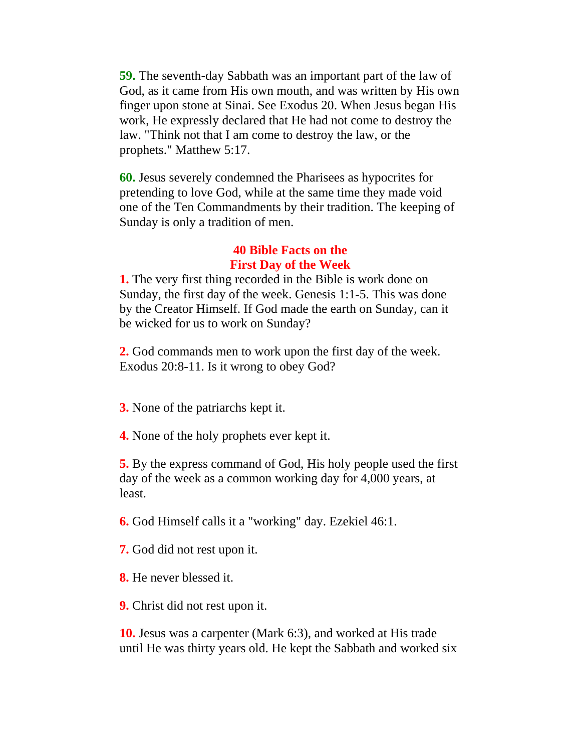**59.** The seventh-day Sabbath was an important part of the law of God, as it came from His own mouth, and was written by His own finger upon stone at Sinai. See Exodus 20. When Jesus began His work, He expressly declared that He had not come to destroy the law. "Think not that I am come to destroy the law, or the prophets." Matthew 5:17.

**60.** Jesus severely condemned the Pharisees as hypocrites for pretending to love God, while at the same time they made void one of the Ten Commandments by their tradition. The keeping of Sunday is only a tradition of men.

## **40 Bible Facts on the First Day of the Week**

**1.** The very first thing recorded in the Bible is work done on Sunday, the first day of the week. Genesis 1:1-5. This was done by the Creator Himself. If God made the earth on Sunday, can it be wicked for us to work on Sunday?

**2.** God commands men to work upon the first day of the week. Exodus 20:8-11. Is it wrong to obey God?

**3.** None of the patriarchs kept it.

**4.** None of the holy prophets ever kept it.

**5.** By the express command of God, His holy people used the first day of the week as a common working day for 4,000 years, at least.

**6.** God Himself calls it a "working" day. Ezekiel 46:1.

- **7.** God did not rest upon it.
- **8.** He never blessed it.
- **9.** Christ did not rest upon it.

**10.** Jesus was a carpenter (Mark 6:3), and worked at His trade until He was thirty years old. He kept the Sabbath and worked six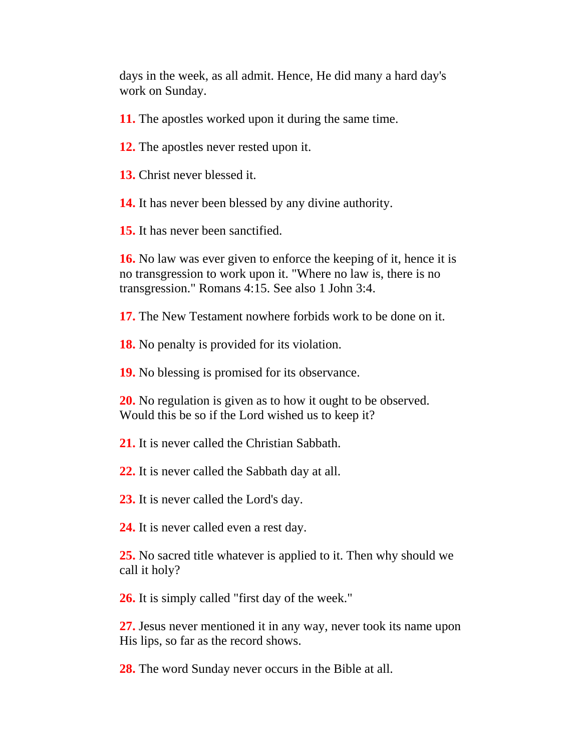days in the week, as all admit. Hence, He did many a hard day's work on Sunday.

**11.** The apostles worked upon it during the same time.

**12.** The apostles never rested upon it.

**13.** Christ never blessed it.

**14.** It has never been blessed by any divine authority.

**15.** It has never been sanctified.

**16.** No law was ever given to enforce the keeping of it, hence it is no transgression to work upon it. "Where no law is, there is no transgression." Romans 4:15. See also 1 John 3:4.

**17.** The New Testament nowhere forbids work to be done on it.

**18.** No penalty is provided for its violation.

**19.** No blessing is promised for its observance.

**20.** No regulation is given as to how it ought to be observed. Would this be so if the Lord wished us to keep it?

**21.** It is never called the Christian Sabbath.

**22.** It is never called the Sabbath day at all.

**23.** It is never called the Lord's day.

**24.** It is never called even a rest day.

**25.** No sacred title whatever is applied to it. Then why should we call it holy?

**26.** It is simply called "first day of the week."

**27.** Jesus never mentioned it in any way, never took its name upon His lips, so far as the record shows.

**28.** The word Sunday never occurs in the Bible at all.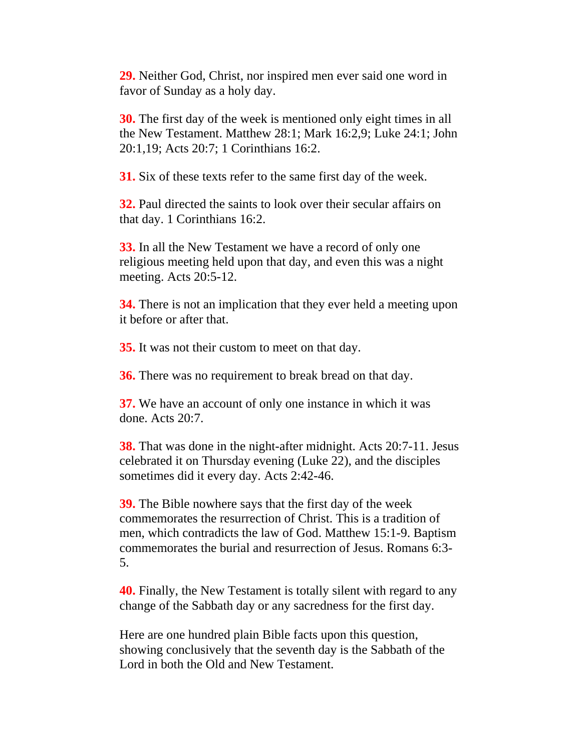**29.** Neither God, Christ, nor inspired men ever said one word in favor of Sunday as a holy day.

**30.** The first day of the week is mentioned only eight times in all the New Testament. Matthew 28:1; Mark 16:2,9; Luke 24:1; John 20:1,19; Acts 20:7; 1 Corinthians 16:2.

**31.** Six of these texts refer to the same first day of the week.

**32.** Paul directed the saints to look over their secular affairs on that day. 1 Corinthians 16:2.

**33.** In all the New Testament we have a record of only one religious meeting held upon that day, and even this was a night meeting. Acts 20:5-12.

**34.** There is not an implication that they ever held a meeting upon it before or after that.

**35.** It was not their custom to meet on that day.

**36.** There was no requirement to break bread on that day.

**37.** We have an account of only one instance in which it was done. Acts 20:7.

**38.** That was done in the night-after midnight. Acts 20:7-11. Jesus celebrated it on Thursday evening (Luke 22), and the disciples sometimes did it every day. Acts 2:42-46.

**39.** The Bible nowhere says that the first day of the week commemorates the resurrection of Christ. This is a tradition of men, which contradicts the law of God. Matthew 15:1-9. Baptism commemorates the burial and resurrection of Jesus. Romans 6:3- 5.

**40.** Finally, the New Testament is totally silent with regard to any change of the Sabbath day or any sacredness for the first day.

Here are one hundred plain Bible facts upon this question, showing conclusively that the seventh day is the Sabbath of the Lord in both the Old and New Testament.